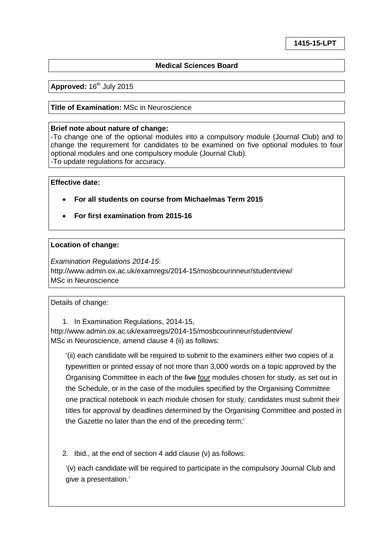### **Medical Sciences Board**

Approved: 16<sup>th</sup> July 2015

#### **Title of Examination:** MSc in Neuroscience

#### **Brief note about nature of change:**

-To change one of the optional modules into a compulsory module (Journal Club) and to change the requirement for candidates to be examined on five optional modules to four optional modules and one compulsory module (Journal Club). -To update regulations for accuracy.

#### **Effective date:**

- **For all students on course from Michaelmas Term 2015**
- **For first examination from 2015-16**

### **Location of change:**

*Examination Regulations 2014-15*: http://www.admin.ox.ac.uk/examregs/2014-15/mosbcourinneur/studentview/ MSc in Neuroscience

### Details of change:

1. In Examination Regulations, 2014-15, http://www.admin.ox.ac.uk/examregs/2014-15/mosbcourinneur/studentview/ MSc in Neuroscience, amend clause 4 (ii) as follows:

'(ii) each candidate will be required to submit to the examiners either two copies of a typewritten or printed essay of not more than 3,000 words on a topic approved by the Organising Committee in each of the five four modules chosen for study, as set out in the Schedule, or in the case of the modules specified by the Organising Committee one practical notebook in each module chosen for study; candidates must submit their titles for approval by deadlines determined by the Organising Committee and posted in the Gazette no later than the end of the preceding term;'

2. Ibid., at the end of section 4 add clause (v) as follows:

'(v) each candidate will be required to participate in the compulsory Journal Club and give a presentation.'